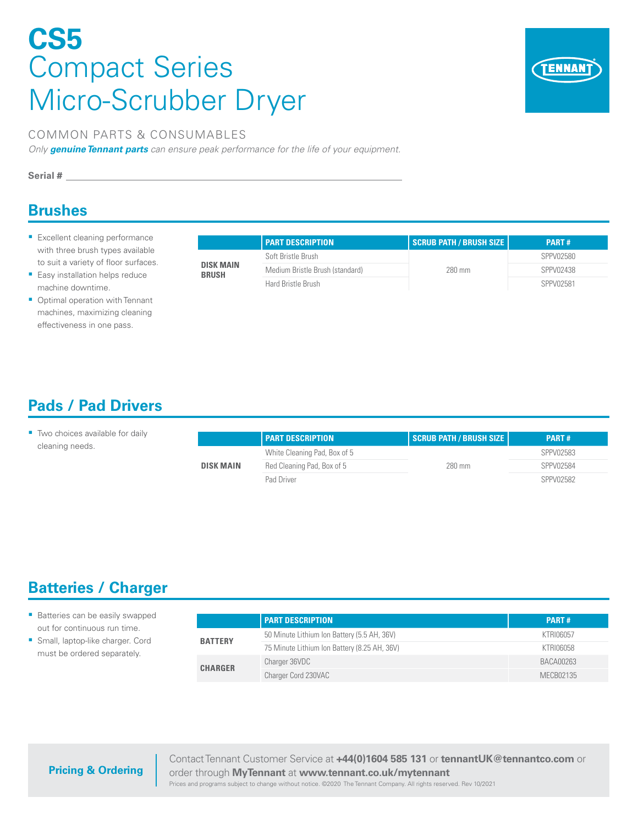# **CS5**  Compact Series Micro-Scrubber Dryer



#### COMMON PARTS & CONSUMABLES

*Only genuine Tennant parts can ensure peak performance for the life of your equipment.*

**Serial #**

### **Brushes**

- **Excellent cleaning performance** with three brush types available to suit a variety of floor surfaces.
- **Easy installation helps reduce** machine downtime.
- Optimal operation with Tennant machines, maximizing cleaning effectiveness in one pass.

|                           | <b>PART DESCRIPTION</b>         | Scrub Path / Brush Size | <b>PART#</b> |
|---------------------------|---------------------------------|-------------------------|--------------|
| DISK MAIN<br><b>BRUSH</b> | Soft Bristle Brush              | 280 mm                  | SPPV02580    |
|                           | Medium Bristle Brush (standard) |                         | SPPV02438    |
|                           | Hard Bristle Brush              |                         | SPPV02581    |

# **Pads / Pad Drivers**

| Two choices available for daily |                  | <b>PART DESCRIPTION</b>      | SCRUB PATH / BRUSH SIZE | PART#     |
|---------------------------------|------------------|------------------------------|-------------------------|-----------|
| cleaning needs.                 | <b>DISK MAIN</b> | White Cleaning Pad, Box of 5 | 280 mm                  | SPPV02583 |
|                                 |                  | Red Cleaning Pad, Box of 5   |                         | SPPV02584 |
|                                 |                  | Pad Driver                   |                         | SPPV02582 |

# **Batteries / Charger**

| <b>Batteries can be easily swapped</b> |
|----------------------------------------|
| out for continuous run time.           |

 Small, laptop-like charger. Cord must be ordered separately.

|                | <b>PART DESCRIPTION</b>                      | <b>PART#</b> |
|----------------|----------------------------------------------|--------------|
| <b>BATTERY</b> | 50 Minute Lithium Ion Battery (5.5 AH, 36V)  | KTRI06057    |
|                | 75 Minute Lithium Ion Battery (8.25 AH, 36V) | KTRI06058    |
| <b>CHARGER</b> | Charger 36VDC                                | BACA00263    |
|                | Charger Cord 230VAC                          | MECB02135    |

#### **Pricing & Ordering**

Contact Tennant Customer Service at **+44(0)1604 585 131** or **tennantUK@tennantco.com** or order through **MyTennant** at **www.tennant.co.uk/mytennant**

Prices and programs subject to change without notice. ©2020 The Tennant Company. All rights reserved. Rev 10/2021